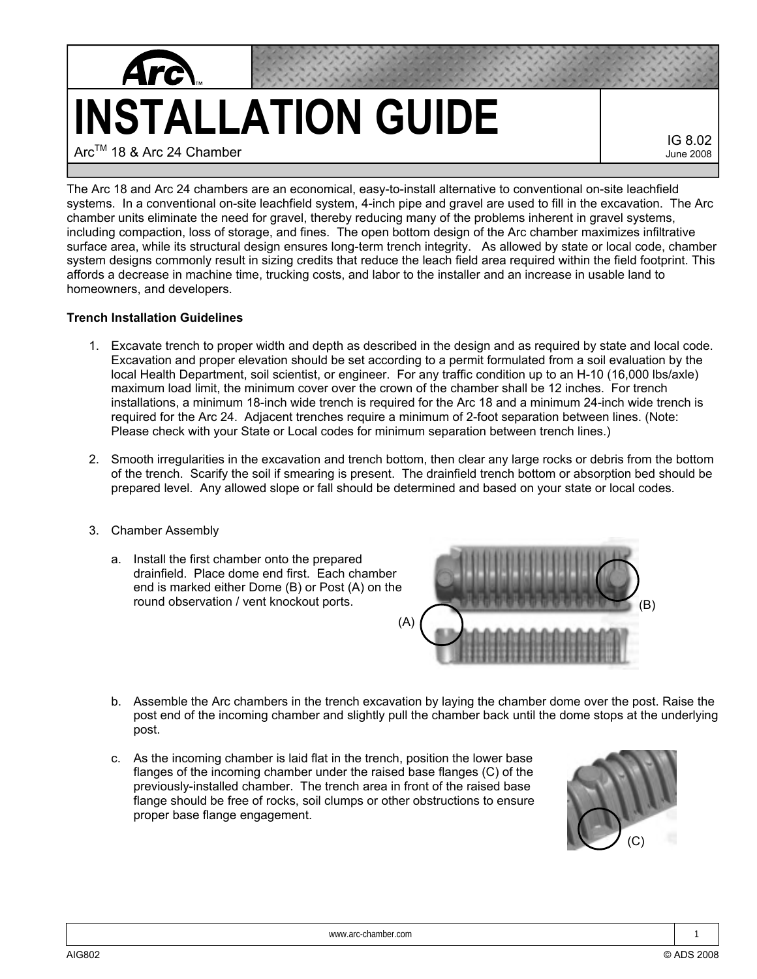

IG 8.02 June 2008

The Arc 18 and Arc 24 chambers are an economical, easy-to-install alternative to conventional on-site leachfield systems. In a conventional on-site leachfield system, 4-inch pipe and gravel are used to fill in the excavation. The Arc chamber units eliminate the need for gravel, thereby reducing many of the problems inherent in gravel systems, including compaction, loss of storage, and fines. The open bottom design of the Arc chamber maximizes infiltrative surface area, while its structural design ensures long-term trench integrity. As allowed by state or local code, chamber system designs commonly result in sizing credits that reduce the leach field area required within the field footprint. This affords a decrease in machine time, trucking costs, and labor to the installer and an increase in usable land to homeowners, and developers.

## **Trench Installation Guidelines**

- 1. Excavate trench to proper width and depth as described in the design and as required by state and local code. Excavation and proper elevation should be set according to a permit formulated from a soil evaluation by the local Health Department, soil scientist, or engineer. For any traffic condition up to an H-10 (16,000 lbs/axle) maximum load limit, the minimum cover over the crown of the chamber shall be 12 inches. For trench installations, a minimum 18-inch wide trench is required for the Arc 18 and a minimum 24-inch wide trench is required for the Arc 24. Adjacent trenches require a minimum of 2-foot separation between lines. (Note: Please check with your State or Local codes for minimum separation between trench lines.)
- 2. Smooth irregularities in the excavation and trench bottom, then clear any large rocks or debris from the bottom of the trench. Scarify the soil if smearing is present. The drainfield trench bottom or absorption bed should be prepared level. Any allowed slope or fall should be determined and based on your state or local codes.
- 3. Chamber Assembly
	- a. Install the first chamber onto the prepared drainfield. Place dome end first. Each chamber end is marked either Dome (B) or Post (A) on the round observation / vent knockout ports.



- b. Assemble the Arc chambers in the trench excavation by laying the chamber dome over the post. Raise the post end of the incoming chamber and slightly pull the chamber back until the dome stops at the underlying post.
- c. As the incoming chamber is laid flat in the trench, position the lower base flanges of the incoming chamber under the raised base flanges (C) of the previously-installed chamber. The trench area in front of the raised base flange should be free of rocks, soil clumps or other obstructions to ensure proper base flange engagement.

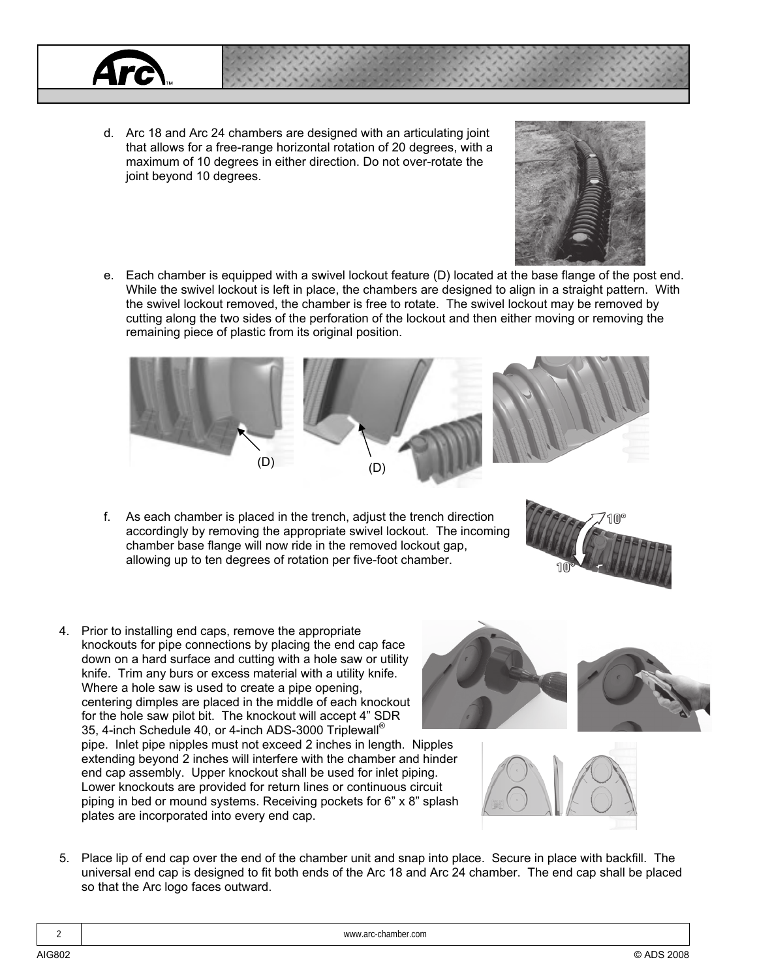

d. Arc 18 and Arc 24 chambers are designed with an articulating joint that allows for a free-range horizontal rotation of 20 degrees, with a maximum of 10 degrees in either direction. Do not over-rotate the joint beyond 10 degrees.



e. Each chamber is equipped with a swivel lockout feature (D) located at the base flange of the post end. While the swivel lockout is left in place, the chambers are designed to align in a straight pattern. With the swivel lockout removed, the chamber is free to rotate. The swivel lockout may be removed by cutting along the two sides of the perforation of the lockout and then either moving or removing the remaining piece of plastic from its original position.



f. As each chamber is placed in the trench, adjust the trench direction accordingly by removing the appropriate swivel lockout. The incoming chamber base flange will now ride in the removed lockout gap, allowing up to ten degrees of rotation per five-foot chamber.



4. Prior to installing end caps, remove the appropriate knockouts for pipe connections by placing the end cap face down on a hard surface and cutting with a hole saw or utility knife. Trim any burs or excess material with a utility knife. Where a hole saw is used to create a pipe opening, centering dimples are placed in the middle of each knockout for the hole saw pilot bit. The knockout will accept 4" SDR 35, 4-inch Schedule 40, or 4-inch ADS-3000 Triplewall® pipe. Inlet pipe nipples must not exceed 2 inches in length. Nipples extending beyond 2 inches will interfere with the chamber and hinder end cap assembly. Upper knockout shall be used for inlet piping. Lower knockouts are provided for return lines or continuous circuit piping in bed or mound systems. Receiving pockets for 6" x 8" splash plates are incorporated into every end cap.





5. Place lip of end cap over the end of the chamber unit and snap into place. Secure in place with backfill. The universal end cap is designed to fit both ends of the Arc 18 and Arc 24 chamber. The end cap shall be placed so that the Arc logo faces outward.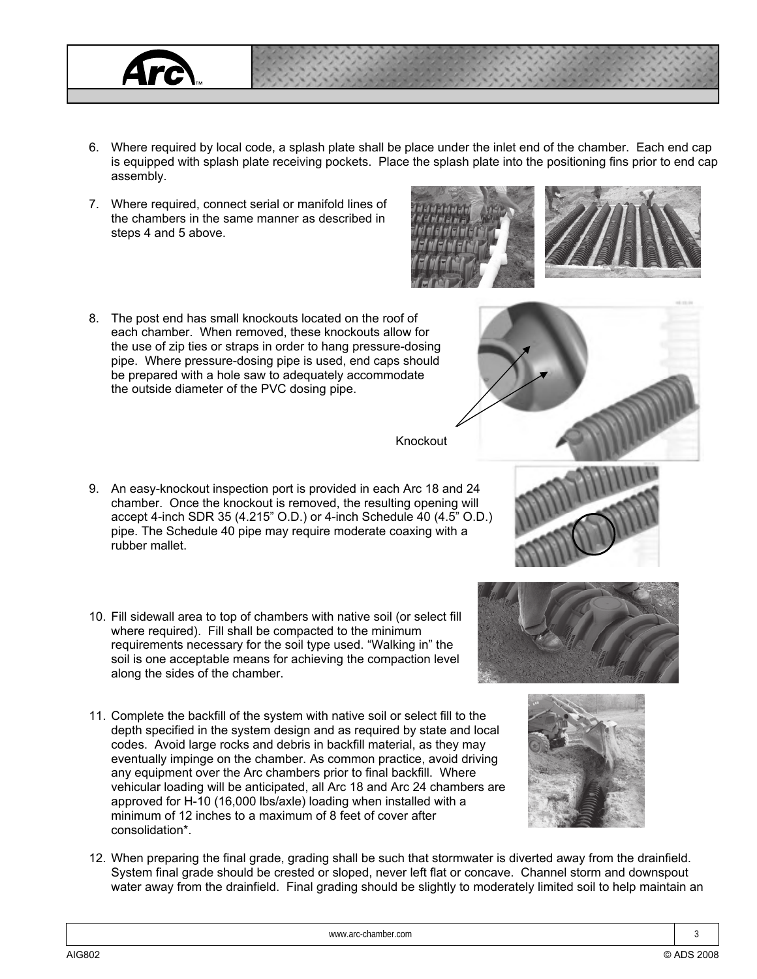## Knockout

6. Where required by local code, a splash plate shall be place under the inlet end of the chamber. Each end cap is equipped with splash plate receiving pockets. Place the splash plate into the positioning fins prior to end cap

- 9. An easy-knockout inspection port is provided in each Arc 18 and 24 chamber. Once the knockout is removed, the resulting opening will accept 4-inch SDR 35 (4.215" O.D.) or 4-inch Schedule 40 (4.5" O.D.) pipe. The Schedule 40 pipe may require moderate coaxing with a rubber mallet.
- 10. Fill sidewall area to top of chambers with native soil (or select fill where required). Fill shall be compacted to the minimum requirements necessary for the soil type used. "Walking in" the soil is one acceptable means for achieving the compaction level along the sides of the chamber.
- 11. Complete the backfill of the system with native soil or select fill to the depth specified in the system design and as required by state and local codes. Avoid large rocks and debris in backfill material, as they may eventually impinge on the chamber. As common practice, avoid driving any equipment over the Arc chambers prior to final backfill. Where vehicular loading will be anticipated, all Arc 18 and Arc 24 chambers are approved for H-10 (16,000 lbs/axle) loading when installed with a minimum of 12 inches to a maximum of 8 feet of cover after consolidation\*.
- 12. When preparing the final grade, grading shall be such that stormwater is diverted away from the drainfield. System final grade should be crested or sloped, never left flat or concave. Channel storm and downspout water away from the drainfield. Final grading should be slightly to moderately limited soil to help maintain an









assembly.

steps 4 and 5 above.

7. Where required, connect serial or manifold lines of the chambers in the same manner as described in

8. The post end has small knockouts located on the roof of each chamber. When removed, these knockouts allow for the use of zip ties or straps in order to hang pressure-dosing pipe. Where pressure-dosing pipe is used, end caps should be prepared with a hole saw to adequately accommodate

the outside diameter of the PVC dosing pipe.